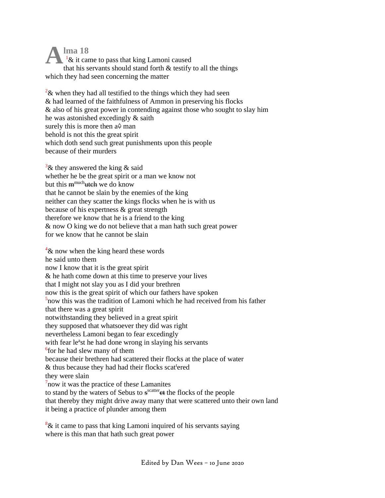**lma 18**  $1\&$  it came to pass that king Lamoni caused that his servants should stand forth  $\&$  testify to all the things which they had seen concerning the matter **A**

 $2\&$  when they had all testified to the things which they had seen & had learned of the faithfulness of Ammon in preserving his flocks & also of his great power in contending against those who sought to slay him he was astonished excedingly & saith surely this is more then  $a\hat{+}$  man behold is not this the great spirit which doth send such great punishments upon this people because of their murders

 $3\&$  they answered the king  $\&$  said whether he be the great spirit or a man we know not but this m<sup>much</sup>utch we do know that he cannot be slain by the enemies of the king neither can they scatter the kings flocks when he is with us because of his expertness & great strength therefore we know that he is a friend to the king & now O king we do not believe that a man hath such great power for we know that he cannot be slain

 $4\&$  now when the king heard these words he said unto them now I know that it is the great spirit & he hath come down at this time to preserve your lives that I might not slay you as I did your brethren now this is the great spirit of which our fathers have spoken 5 now this was the tradition of Lamoni which he had received from his father that there was a great spirit notwithstanding they believed in a great spirit they supposed that whatsoever they did was right nevertheless Lamoni began to fear excedingly with fear le<sup>a</sup>st he had done wrong in slaying his servants 6 for he had slew many of them because their brethren had scattered their flocks at the place of water & thus because they had had their flocks scattered they were slain 7 now it was the practice of the*se* Lamanites to stand by the waters of Sebus to s<sup>scatter</sup>et the flocks of the people that thereby they might drive away many that were scattered unto their own land it being a practice of plunder among them

 $8\&$  it came to pass that king Lamoni inquired of his servants saying where is this man that hath such great power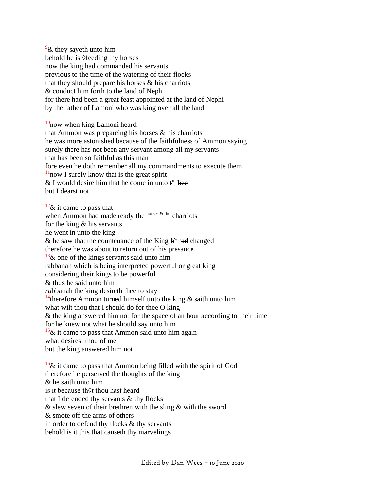$\frac{9}{6}$  they saveth unto him behold he is *◊*feeding thy horses now the king had commanded his servants previous to the time of the watering of their flocks that they should prepare his horses  $\&$  his charriots & conduct him forth to the land of Nephi for there had been a great feast appointed at the land of Nephi by the father of Lamoni who was king over all the land

 $10$ now when king Lamoni heard that Ammon was prepareing his horses & his charriots he was more astonished because of the faithfulness of Ammon saying surely there has not been any servant among all my servants that has been so faithful as this man fore even he doth remember all my commandments to execute them  $11$ now I surely know that is the great spirit & I would desire him that he come in unto  $t^{\text{me}}$  hee but I dearst not

 $12\&$  it came to pass that when Ammon had made ready the horses  $\&$  the charriots for the king & his servants he went in unto the king & he saw that the countenance of the King  $h^{was}$  and changed therefore he was about to return out of his presance  $13\&$  one of the kings servants said unto him rabbanah which is being interpreted powerful or great king considering their kings to be powerful & thus he said unto him *ra*bbanah the king desireth thee to stay <sup>14</sup>therefore Ammon turned himself unto the king  $\&$  saith unto him what wilt thou that I should do for thee O king & the king answered him not for the space of an hour according to their time for he knew not what he should say unto him  $15\&$  it came to pass that Ammon said unto him again what desirest thou of me but the king answered him not

 $16\&$  it came to pass that Ammon being filled with the spirit of God therefore he perseived the thoughts of the king & he saith unto him is it because th◊t thou hast heard that I defended thy servants & thy flocks & slew seven of their brethren with the sling & with the sword & smote off the arms of others in order to defend thy flocks & thy servants behold is it this that causeth thy marvelings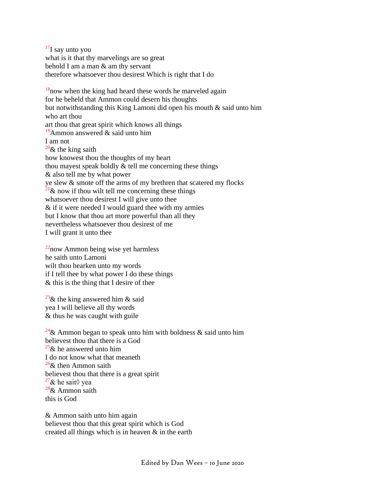$17$ I say unto you what is it that thy marvelings are so great behold I am a man & am thy servant therefore whatsoever thou desirest Which is right that I do

 $18$ <sub>n</sub>ow when the king had heard these words he marveled again for he beheld that Ammon could desern his thoughts but notwithstanding this King Lamoni did open his mouth & said unto him who art thou art thou that great spirit which knows all things <sup>19</sup>Ammon answered  $\&$  said unto him I am not  $20\&$  the king saith how knowest thou the thoughts of my heart thou mayest speak boldly & tell me concerning these things & also tell me by what power ye slew & smote off the arms of my brethren that scatered my flocks  $^{21}$ & now if thou wilt tell me concerning these things whatsoever thou desirest I will give unto thee & if it were needed I would guard thee with my armies but I know that thou art more powerful than all they nevertheless whatsoever thou desirest of me I will grant it unto thee

 $22$ now Ammon being wise yet harmless he saith unto Lamoni wilt thou hearken unto my words if I tell thee by what power I do these things & this is the thing that I desire of thee

<sup>23</sup>& the king answered him & said yea I will believe all thy words & thus he was caught with guile

<sup>24</sup>& Ammon began to speak unto him with boldness & said unto him believest thou that there is a God  $25\&$  he answered unto him I do not know what that meaneth  $26\&$  then Ammon saith believest thou that there is a great spirit <sup>27</sup>& he sait $\Diamond$  yea  $28\&$  Ammon saith this is God

& Ammon saith unto him again believest thou that this great spirit which is God created all things which is in heaven & in the earth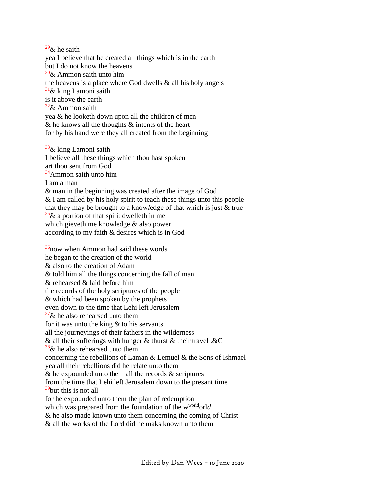$^{29}$ & he saith yea I believe that he created all things which is in the earth but I do not know the heavens  $30\&$  Ammon saith unto him the heavens is a place where God dwells  $\&$  all his holy angels  $31\&$  king Lamoni saith is it above the earth  $32\&$  Ammon saith yea & he looketh down upon all the children of men  $&$  he knows all the thoughts  $&$  intents of the heart for by his hand were they all created from the beginning

 $33\&$  king Lamoni saith I believe all these things which thou hast spoken art thou sent from God  $34$ Ammon saith unto him I am a man & man in the beginning was created after the image of God & I am called by his holy spirit to teach these things unto this people that they may be brought to a know*l*edge of that which is just & true  $\frac{35}{36}$ & a portion of that spirit dwelleth in me which gieveth me knowledge & also power according to my faith & desires which is in God

 $36$ now when Ammon had said these words he began to the creation of the world & also to the creation of Adam & told him all the things concerning the fall of man & rehearsed & laid before him the records of the holy scriptures of the people & which had been spoken by the prophets even down to the time that Lehi left Jerusalem  $37\&$  he also rehearsed unto them for it was unto the king & to his servants all the journeyings of their fathers in the wilderness  $\&$  all their sufferings with hunger  $\&$  thurst  $\&$  their travel  $\&$ C  $38\&$  he also rehearsed unto them concerning the rebellions of Laman & Lemuel & the Sons of Ishmael yea all their rebellions did he relate unto them  $\&$  he expounded unto them all the records  $\&$  scriptures from the time that Lehi left Jerusalem down to the presant time  $39$ but this is not all for he expounded unto them the plan of redemption which was prepared from the foundation of the w<sup>world</sup>orld & he also made known unto them concerning the coming of Christ  $\&$  all the works of the Lord did he maks known unto them